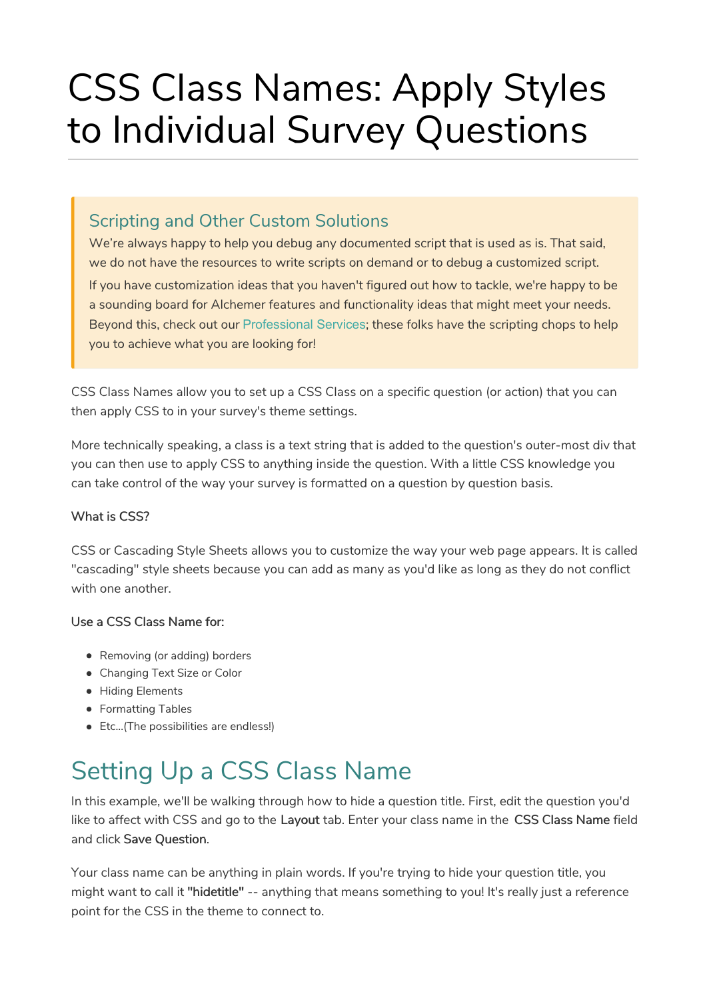# CSS Class Names: Apply Styles to Individual Survey Questions

#### Scripting and Other Custom Solutions

We're always happy to help you debug any documented script that is used as is. That said, we do not have the resources to write scripts on demand or to debug a customized script.

If you have customization ideas that you haven't figured out how to tackle, we're happy to be a sounding board for Alchemer features and functionality ideas that might meet your needs. Beyond this, check out our Professional Services; these folks have the scripting chops to help you to achieve what you are looking for!

CSS Class Names allow you to set up a CSS Class on a specific question (or action) that you can then apply CSS to in your survey's theme settings.

More technically speaking, a class is a text string that is added to the question's outer-most div that you can then use to apply CSS to anything inside the question. With a little CSS knowledge you can take control of the way your survey is formatted on a question by question basis.

#### What is CSS?

CSS or Cascading Style Sheets allows you to customize the way your web page appears. It is called "cascading" style sheets because you can add as many as you'd like as long as they do not conflict with one another

#### Use a CSS Class Name for:

- Removing (or adding) borders
- Changing Text Size or Color
- **Hiding Elements**
- Formatting Tables
- Etc...(The possibilities are endless!)

# Setting Up a CSS Class Name

In this example, we'll be walking through how to hide a question title. First, edit the question you'd like to affect with CSS and go to the Layout tab. Enter your class name in the CSS Class Name field and click Save Question.

Your class name can be anything in plain words. If you're trying to hide your question title, you might want to call it "hidetitle" -- anything that means something to you! It's really just a reference point for the CSS in the theme to connect to.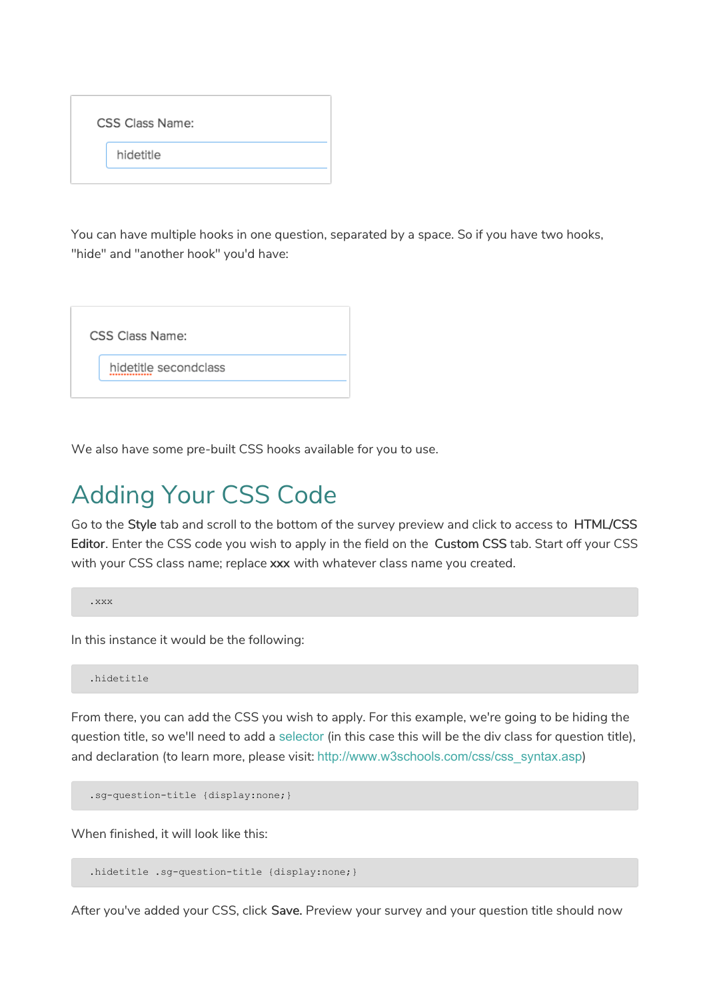| <b>CSS Class Name:</b> |  |  |
|------------------------|--|--|
| hidetitle              |  |  |
|                        |  |  |

You can have multiple hooks in one question, separated by a space. So if you have two hooks, "hide" and "another hook" you'd have:



We also have some pre-built CSS hooks available for you to use.

## Adding Your CSS Code

Go to the Style tab and scroll to the bottom of the survey preview and click to access to HTML/CSS Editor. Enter the CSS code you wish to apply in the field on the Custom CSS tab. Start off your CSS with your CSS class name; replace xxx with whatever class name you created.

.xxx

In this instance it would be the following:

.hidetitle

From there, you can add the CSS you wish to apply. For this example, we're going to be hiding the question title, so we'll need to add a selector (in this case this will be the div class for question title), and declaration (to learn more, please visit: http://www.w3schools.com/css/css\_syntax.asp)

.sg-question-title {display:none;}

When finished, it will look like this:

.hidetitle .sg-question-title {display:none;}

After you've added your CSS, click Save. Preview your survey and your question title should now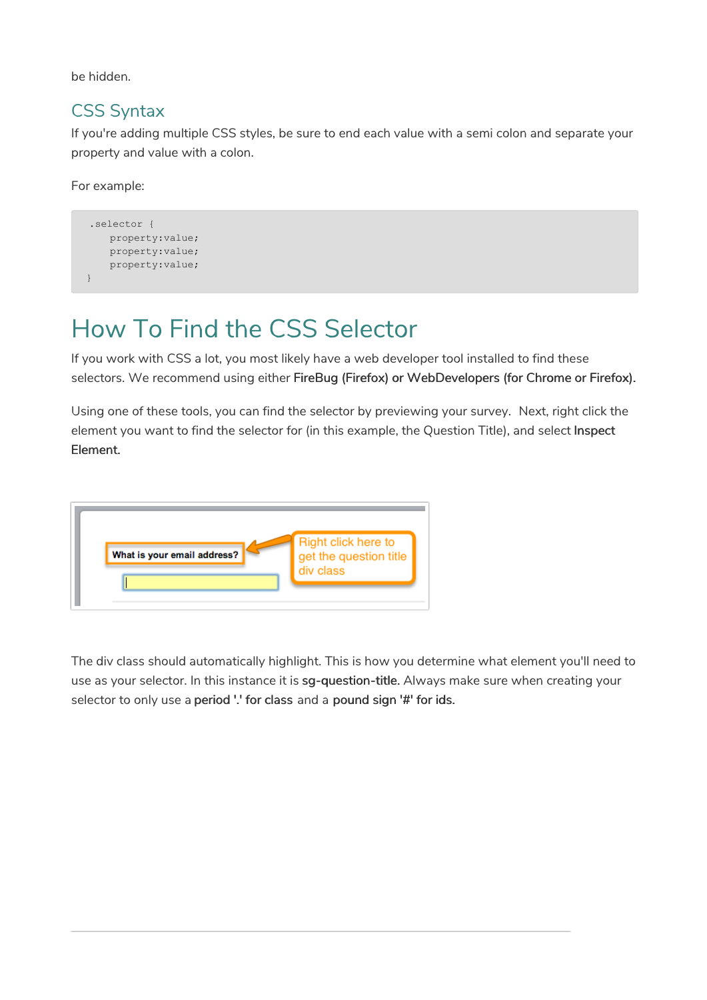be hidden.

#### CSS Syntax

If you're adding multiple CSS styles, be sure to end each value with a semi colon and separate your property and value with a colon.

For example:

```
.selector {
   property:value;
   property:value;
   property:value;
}
```
### How To Find the CSS Selector

If you work with CSS a lot, you most likely have a web developer tool installed to find these selectors. We recommend using either FireBug (Firefox) or WebDevelopers (for Chrome or Firefox).

Using one of these tools, you can find the selector by previewing your survey. Next, right click the element you want to find the selector for (in this example, the Question Title), and select Inspect Element.



The div class should automatically highlight. This is how you determine what element you'll need to use as your selector. In this instance it is sg-question-title. Always make sure when creating your selector to only use a period '.' for class and a pound sign '#' for ids.